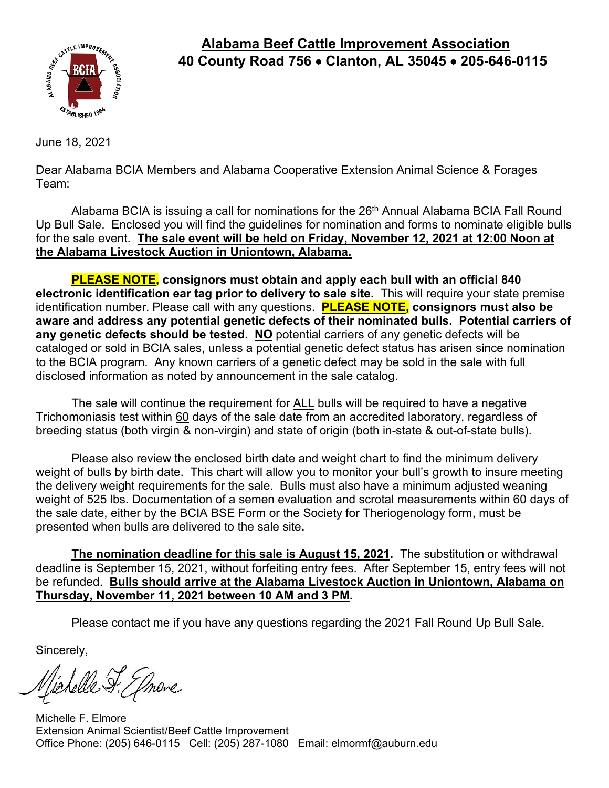

## **Alabama Beef Cattle Improvement Association 40 County Road 756** • **Clanton, AL 35045** • **205-646-0115**

June 18, 2021

Dear Alabama BCIA Members and Alabama Cooperative Extension Animal Science & Forages Team:

Alabama BCIA is issuing a call for nominations for the 26<sup>th</sup> Annual Alabama BCIA Fall Round Up Bull Sale. Enclosed you will find the guidelines for nomination and forms to nominate eligible bulls for the sale event. **The sale event will be held on Friday, November 12, 2021 at 12:00 Noon at the Alabama Livestock Auction in Uniontown, Alabama.** 

**PLEASE NOTE, consignors must obtain and apply each bull with an official 840 electronic identification ear tag prior to delivery to sale site.** This will require your state premise identification number. Please call with any questions. **PLEASE NOTE, consignors must also be aware and address any potential genetic defects of their nominated bulls. Potential carriers of any genetic defects should be tested. NO** potential carriers of any genetic defects will be cataloged or sold in BCIA sales, unless a potential genetic defect status has arisen since nomination to the BCIA program. Any known carriers of a genetic defect may be sold in the sale with full disclosed information as noted by announcement in the sale catalog.

The sale will continue the requirement for ALL bulls will be required to have a negative Trichomoniasis test within 60 days of the sale date from an accredited laboratory, regardless of breeding status (both virgin & non-virgin) and state of origin (both in-state & out-of-state bulls).

Please also review the enclosed birth date and weight chart to find the minimum delivery weight of bulls by birth date. This chart will allow you to monitor your bull's growth to insure meeting the delivery weight requirements for the sale. Bulls must also have a minimum adjusted weaning weight of 525 lbs. Documentation of a semen evaluation and scrotal measurements within 60 days of the sale date, either by the BCIA BSE Form or the Society for Theriogenology form, must be presented when bulls are delivered to the sale site**.** 

**The nomination deadline for this sale is August 15, 2021.** The substitution or withdrawal deadline is September 15, 2021, without forfeiting entry fees. After September 15, entry fees will not be refunded. **Bulls should arrive at the Alabama Livestock Auction in Uniontown, Alabama on Thursday, November 11, 2021 between 10 AM and 3 PM.**

Please contact me if you have any questions regarding the 2021 Fall Round Up Bull Sale.

Sincerely,

elle F. Jmore

Michelle F. Elmore Extension Animal Scientist/Beef Cattle Improvement Office Phone: (205) 646-0115 Cell: (205) 287-1080 Email: elmormf@auburn.edu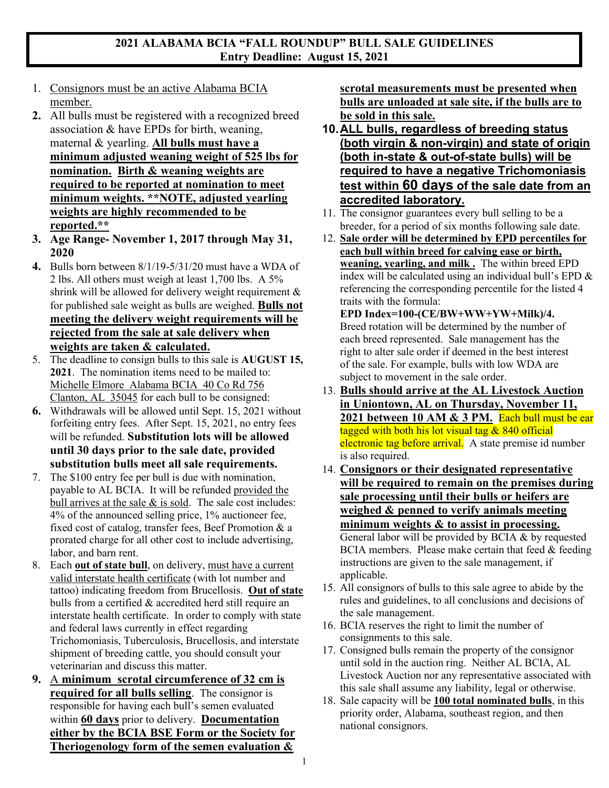#### **2021 ALABAMA BCIA "FALL ROUNDUP" BULL SALE GUIDELINES Entry Deadline: August 15, 2021**

- 1. Consignors must be an active Alabama BCIA member.
- **2.** All bulls must be registered with a recognized breed association & have EPDs for birth, weaning, maternal & yearling. **All bulls must have a minimum adjusted weaning weight of 525 lbs for nomination. Birth & weaning weights are required to be reported at nomination to meet minimum weights. \*\*NOTE, adjusted yearling weights are highly recommended to be reported.\*\***
- **3. Age Range- November 1, 2017 through May 31, 2020**
- **4.** Bulls born between 8/1/19-5/31/20 must have a WDA of 2 lbs. All others must weigh at least 1,700 lbs. A 5% shrink will be allowed for delivery weight requirement & for published sale weight as bulls are weighed. **Bulls not meeting the delivery weight requirements will be rejected from the sale at sale delivery when weights are taken & calculated.**
- 5. The deadline to consign bulls to this sale is **AUGUST 15, 2021**. The nomination items need to be mailed to: Michelle Elmore Alabama BCIA 40 Co Rd 756 Clanton, AL 35045 for each bull to be consigned:
- **6.** Withdrawals will be allowed until Sept. 15, 2021 without forfeiting entry fees. After Sept. 15, 2021, no entry fees will be refunded. **Substitution lots will be allowed until 30 days prior to the sale date, provided substitution bulls meet all sale requirements.**
- 7. The \$100 entry fee per bull is due with nomination, payable to AL BCIA. It will be refunded provided the bull arrives at the sale  $\&$  is sold. The sale cost includes: 4% of the announced selling price, 1% auctioneer fee, fixed cost of catalog, transfer fees, Beef Promotion & a prorated charge for all other cost to include advertising, labor, and barn rent.
- 8. Each **out of state bull**, on delivery, must have a current valid interstate health certificate (with lot number and tattoo) indicating freedom from Brucellosis. **Out of state** bulls from a certified & accredited herd still require an interstate health certificate. In order to comply with state and federal laws currently in effect regarding Trichomoniasis, Tuberculosis, Brucellosis, and interstate shipment of breeding cattle, you should consult your veterinarian and discuss this matter.
- **9.** A **minimum scrotal circumference of 32 cm is required for all bulls selling**. The consignor is responsible for having each bull's semen evaluated within **60 days** prior to delivery. **Documentation either by the BCIA BSE Form or the Society for Theriogenology form of the semen evaluation &**

**scrotal measurements must be presented when bulls are unloaded at sale site, if the bulls are to be sold in this sale.**

- **10.ALL bulls, regardless of breeding status (both virgin & non-virgin) and state of origin (both in-state & out-of-state bulls) will be required to have a negative Trichomoniasis test within 60 days of the sale date from an accredited laboratory.**
- 11. The consignor guarantees every bull selling to be a breeder, for a period of six months following sale date.
- 12. **Sale order will be determined by EPD percentiles for each bull within breed for calving ease or birth, weaning, yearling, and milk .** The within breed EPD index will be calculated using an individual bull's EPD & referencing the corresponding percentile for the listed 4 traits with the formula:

**EPD Index=100-(CE/BW+WW+YW+Milk)/4.**  Breed rotation will be determined by the number of each breed represented. Sale management has the right to alter sale order if deemed in the best interest of the sale. For example, bulls with low WDA are subject to movement in the sale order.

- 13. **Bulls should arrive at the AL Livestock Auction in Uniontown, AL on Thursday, November 11, 2021 between 10 AM & 3 PM.** Each bull must be ear tagged with both his lot visual tag  $& 840$  official electronic tag before arrival. A state premise id number is also required.
- 14. **Consignors or their designated representative will be required to remain on the premises during sale processing until their bulls or heifers are weighed & penned to verify animals meeting minimum weights & to assist in processing.** General labor will be provided by BCIA & by requested BCIA members. Please make certain that feed & feeding instructions are given to the sale management, if applicable.
- 15. All consignors of bulls to this sale agree to abide by the rules and guidelines, to all conclusions and decisions of the sale management.
- 16. BCIA reserves the right to limit the number of consignments to this sale.
- 17. Consigned bulls remain the property of the consignor until sold in the auction ring. Neither AL BCIA, AL Livestock Auction nor any representative associated with this sale shall assume any liability, legal or otherwise.
- 18. Sale capacity will be **100 total nominated bulls**, in this priority order, Alabama, southeast region, and then national consignors.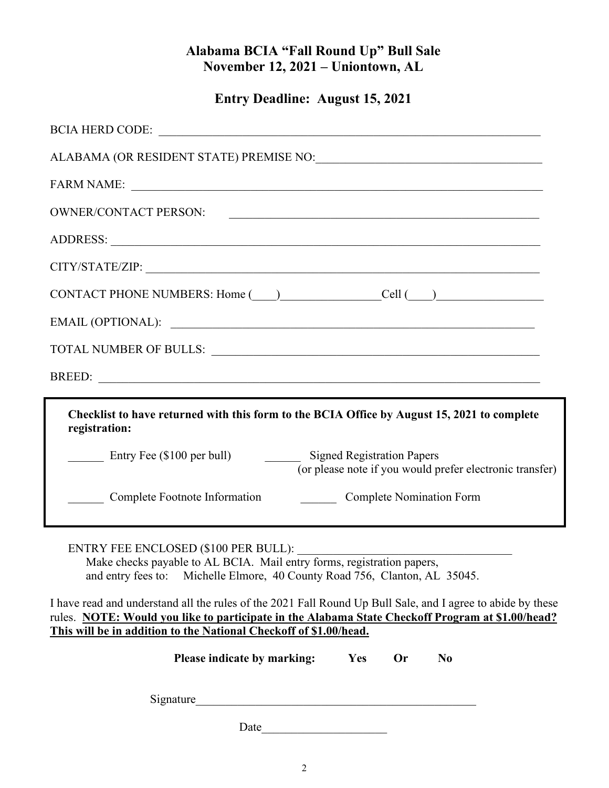# **Alabama BCIA "Fall Round Up" Bull Sale November 12, 2021 – Uniontown, AL**

**Entry Deadline: August 15, 2021** 

| OWNER/CONTACT PERSON:                                                                                                                                                                                                                                                                                                                                                                                                                                                                |  |  |  |  |
|--------------------------------------------------------------------------------------------------------------------------------------------------------------------------------------------------------------------------------------------------------------------------------------------------------------------------------------------------------------------------------------------------------------------------------------------------------------------------------------|--|--|--|--|
|                                                                                                                                                                                                                                                                                                                                                                                                                                                                                      |  |  |  |  |
|                                                                                                                                                                                                                                                                                                                                                                                                                                                                                      |  |  |  |  |
| CONTACT PHONE NUMBERS: Home $\qquad)$ Cell $\qquad)$                                                                                                                                                                                                                                                                                                                                                                                                                                 |  |  |  |  |
|                                                                                                                                                                                                                                                                                                                                                                                                                                                                                      |  |  |  |  |
|                                                                                                                                                                                                                                                                                                                                                                                                                                                                                      |  |  |  |  |
|                                                                                                                                                                                                                                                                                                                                                                                                                                                                                      |  |  |  |  |
| Checklist to have returned with this form to the BCIA Office by August 15, 2021 to complete<br>registration:<br>Entry Fee (\$100 per bull) Signed Registration Papers<br>(or please note if you would prefer electronic transfer)<br>Complete Footnote Information Complete Nomination Form                                                                                                                                                                                          |  |  |  |  |
| ENTRY FEE ENCLOSED (\$100 PER BULL):<br>Make checks payable to AL BCIA. Mail entry forms, registration papers,<br>and entry fees to: Michelle Elmore, 40 County Road 756, Clanton, AL 35045.<br>I have read and understand all the rules of the 2021 Fall Round Up Bull Sale, and I agree to abide by these<br>rules. NOTE: Would you like to participate in the Alabama State Checkoff Program at \$1.00/head?<br>This will be in addition to the National Checkoff of \$1.00/head. |  |  |  |  |
| Please indicate by marking:<br>Yes<br>Or<br>N <sub>0</sub>                                                                                                                                                                                                                                                                                                                                                                                                                           |  |  |  |  |
| Signature                                                                                                                                                                                                                                                                                                                                                                                                                                                                            |  |  |  |  |
| Date                                                                                                                                                                                                                                                                                                                                                                                                                                                                                 |  |  |  |  |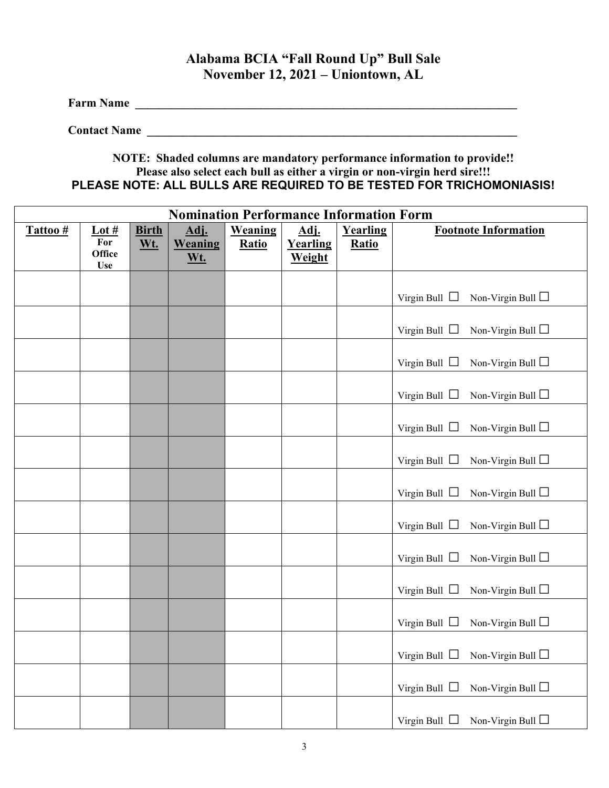## **Alabama BCIA "Fall Round Up" Bull Sale November 12, 2021 – Uniontown, AL**

**Farm Name \_\_\_\_\_\_\_\_\_\_\_\_\_\_\_\_\_\_\_\_\_\_\_\_\_\_\_\_\_\_\_\_\_\_\_\_\_\_\_\_\_\_\_\_\_\_\_\_\_\_\_\_\_\_\_\_\_\_\_\_\_\_\_\_**

**Contact Name \_\_\_\_\_\_\_\_\_\_\_\_\_\_\_\_\_\_\_\_\_\_\_\_\_\_\_\_\_\_\_\_\_\_\_\_\_\_\_\_\_\_\_\_\_\_\_\_\_\_\_\_\_\_\_\_\_\_\_\_\_\_**

#### **NOTE: Shaded columns are mandatory performance information to provide!! Please also select each bull as either a virgin or non-virgin herd sire!!! PLEASE NOTE: ALL BULLS ARE REQUIRED TO BE TESTED FOR TRICHOMONIASIS!**

| <b>Nomination Performance Information Form</b> |                                               |                     |                               |                         |                            |                          |                                                  |
|------------------------------------------------|-----------------------------------------------|---------------------|-------------------------------|-------------------------|----------------------------|--------------------------|--------------------------------------------------|
| Tattoo#                                        | Lot $#$<br>For<br><b>Office</b><br><b>Use</b> | <b>Birth</b><br>Wt. | Adj.<br>Weaning<br><u>Wt.</u> | Weaning<br><b>Ratio</b> | Adj.<br>Yearling<br>Weight | Yearling<br><b>Ratio</b> | <b>Footnote Information</b>                      |
|                                                |                                               |                     |                               |                         |                            |                          | Virgin Bull $\Box$<br>Non-Virgin Bull $\Box$     |
|                                                |                                               |                     |                               |                         |                            |                          | Non-Virgin Bull $\Box$<br>Virgin Bull $\Box$     |
|                                                |                                               |                     |                               |                         |                            |                          | Virgin Bull $\Box$<br>Non-Virgin Bull $\Box$     |
|                                                |                                               |                     |                               |                         |                            |                          | Virgin Bull $\Box$<br>Non-Virgin Bull $\Box$     |
|                                                |                                               |                     |                               |                         |                            |                          | Virgin Bull $\Box$ Non-Virgin Bull $\Box$        |
|                                                |                                               |                     |                               |                         |                            |                          | Non-Virgin Bull $\Box$<br>Virgin Bull $\Box$     |
|                                                |                                               |                     |                               |                         |                            |                          | Virgin Bull $\Box$<br>Non-Virgin Bull $\Box$     |
|                                                |                                               |                     |                               |                         |                            |                          | Virgin Bull $\Box$<br>Non-Virgin Bull $\Box$     |
|                                                |                                               |                     |                               |                         |                            |                          | Virgin Bull $\Box$<br>Non-Virgin Bull $\square$  |
|                                                |                                               |                     |                               |                         |                            |                          | Virgin Bull $\Box$<br>Non-Virgin Bull $\square$  |
|                                                |                                               |                     |                               |                         |                            |                          | Virgin Bull $\Box$<br>Non-Virgin Bull $\Box$     |
|                                                |                                               |                     |                               |                         |                            |                          | Virgin Bull $\,\Box\,$<br>Non-Virgin Bull $\Box$ |
|                                                |                                               |                     |                               |                         |                            |                          | Non-Virgin Bull $\Box$<br>Virgin Bull $\Box$     |
|                                                |                                               |                     |                               |                         |                            |                          | Virgin Bull $\Box$ Non-Virgin Bull $\Box$        |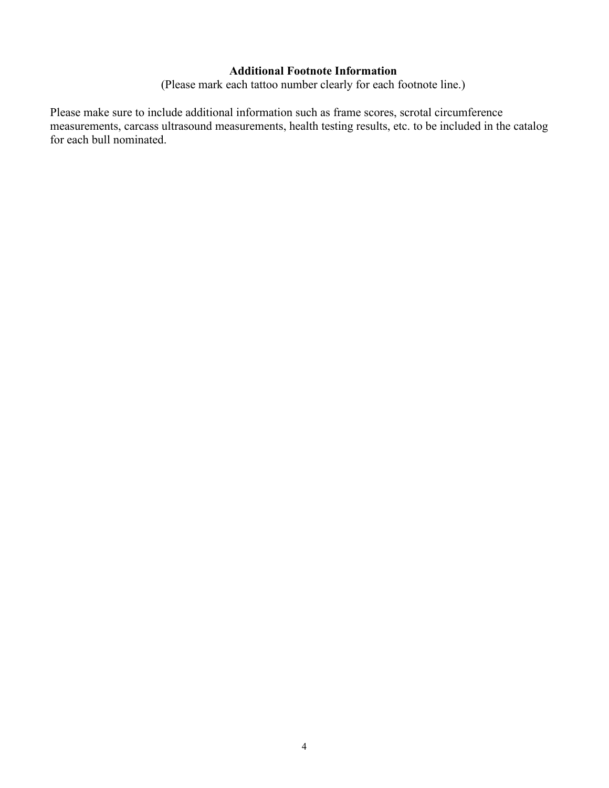#### **Additional Footnote Information**

(Please mark each tattoo number clearly for each footnote line.)

Please make sure to include additional information such as frame scores, scrotal circumference measurements, carcass ultrasound measurements, health testing results, etc. to be included in the catalog for each bull nominated.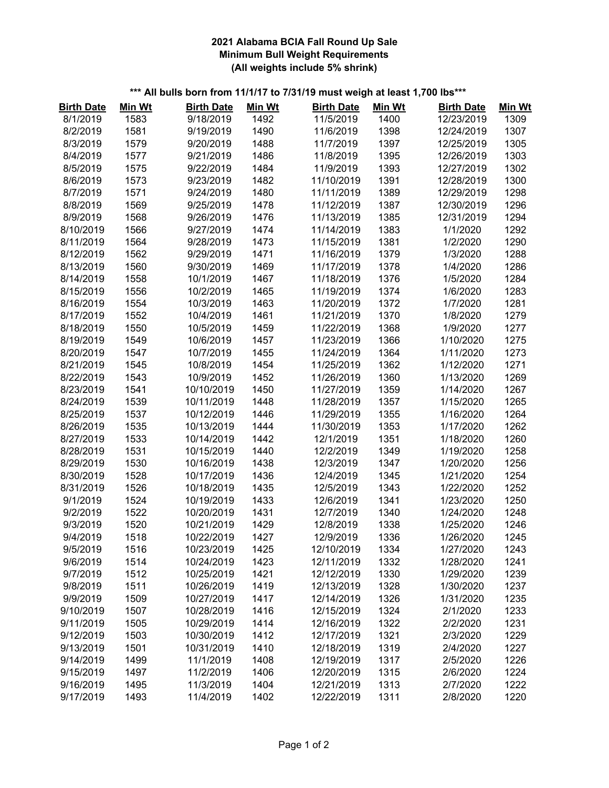#### **2021 Alabama BCIA Fall Round Up Sale Minimum Bull Weight Requirements (All weights include 5% shrink)**

## **\*\*\* All bulls born from 11/1/17 to 7/31/19 must weigh at least 1,700 lbs\*\*\***

| <b>Birth Date</b> | Min Wt | <b>Birth Date</b> | Min Wt | <b>Birth Date</b> | Min Wt | <b>Birth Date</b> | <b>Min Wt</b> |
|-------------------|--------|-------------------|--------|-------------------|--------|-------------------|---------------|
| 8/1/2019          | 1583   | 9/18/2019         | 1492   | 11/5/2019         | 1400   | 12/23/2019        | 1309          |
| 8/2/2019          | 1581   | 9/19/2019         | 1490   | 11/6/2019         | 1398   | 12/24/2019        | 1307          |
| 8/3/2019          | 1579   | 9/20/2019         | 1488   | 11/7/2019         | 1397   | 12/25/2019        | 1305          |
| 8/4/2019          | 1577   | 9/21/2019         | 1486   | 11/8/2019         | 1395   | 12/26/2019        | 1303          |
| 8/5/2019          | 1575   | 9/22/2019         | 1484   | 11/9/2019         | 1393   | 12/27/2019        | 1302          |
| 8/6/2019          | 1573   | 9/23/2019         | 1482   | 11/10/2019        | 1391   | 12/28/2019        | 1300          |
| 8/7/2019          | 1571   | 9/24/2019         | 1480   | 11/11/2019        | 1389   | 12/29/2019        | 1298          |
| 8/8/2019          | 1569   | 9/25/2019         | 1478   | 11/12/2019        | 1387   | 12/30/2019        | 1296          |
| 8/9/2019          | 1568   | 9/26/2019         | 1476   | 11/13/2019        | 1385   | 12/31/2019        | 1294          |
| 8/10/2019         | 1566   | 9/27/2019         | 1474   | 11/14/2019        | 1383   | 1/1/2020          | 1292          |
| 8/11/2019         | 1564   | 9/28/2019         | 1473   | 11/15/2019        | 1381   | 1/2/2020          | 1290          |
| 8/12/2019         | 1562   | 9/29/2019         | 1471   | 11/16/2019        | 1379   | 1/3/2020          | 1288          |
| 8/13/2019         | 1560   | 9/30/2019         | 1469   | 11/17/2019        | 1378   | 1/4/2020          | 1286          |
| 8/14/2019         | 1558   | 10/1/2019         | 1467   | 11/18/2019        | 1376   | 1/5/2020          | 1284          |
| 8/15/2019         | 1556   | 10/2/2019         | 1465   | 11/19/2019        | 1374   | 1/6/2020          | 1283          |
| 8/16/2019         | 1554   | 10/3/2019         | 1463   | 11/20/2019        | 1372   | 1/7/2020          | 1281          |
| 8/17/2019         | 1552   | 10/4/2019         | 1461   | 11/21/2019        | 1370   | 1/8/2020          | 1279          |
| 8/18/2019         | 1550   | 10/5/2019         | 1459   | 11/22/2019        | 1368   | 1/9/2020          | 1277          |
| 8/19/2019         | 1549   | 10/6/2019         | 1457   | 11/23/2019        | 1366   | 1/10/2020         | 1275          |
| 8/20/2019         | 1547   | 10/7/2019         | 1455   | 11/24/2019        | 1364   | 1/11/2020         | 1273          |
| 8/21/2019         | 1545   | 10/8/2019         | 1454   | 11/25/2019        | 1362   | 1/12/2020         | 1271          |
| 8/22/2019         | 1543   | 10/9/2019         | 1452   | 11/26/2019        | 1360   | 1/13/2020         | 1269          |
| 8/23/2019         | 1541   | 10/10/2019        | 1450   | 11/27/2019        | 1359   | 1/14/2020         | 1267          |
| 8/24/2019         | 1539   | 10/11/2019        | 1448   | 11/28/2019        | 1357   | 1/15/2020         | 1265          |
| 8/25/2019         | 1537   | 10/12/2019        | 1446   | 11/29/2019        | 1355   | 1/16/2020         | 1264          |
| 8/26/2019         | 1535   | 10/13/2019        | 1444   | 11/30/2019        | 1353   | 1/17/2020         | 1262          |
| 8/27/2019         | 1533   | 10/14/2019        | 1442   | 12/1/2019         | 1351   | 1/18/2020         | 1260          |
| 8/28/2019         | 1531   | 10/15/2019        | 1440   | 12/2/2019         | 1349   | 1/19/2020         | 1258          |
| 8/29/2019         | 1530   | 10/16/2019        | 1438   | 12/3/2019         | 1347   | 1/20/2020         | 1256          |
| 8/30/2019         | 1528   | 10/17/2019        | 1436   | 12/4/2019         | 1345   | 1/21/2020         | 1254          |
| 8/31/2019         | 1526   | 10/18/2019        | 1435   | 12/5/2019         | 1343   | 1/22/2020         | 1252          |
| 9/1/2019          | 1524   | 10/19/2019        | 1433   | 12/6/2019         | 1341   | 1/23/2020         | 1250          |
| 9/2/2019          | 1522   | 10/20/2019        | 1431   | 12/7/2019         | 1340   | 1/24/2020         | 1248          |
| 9/3/2019          | 1520   | 10/21/2019        | 1429   | 12/8/2019         | 1338   | 1/25/2020         | 1246          |
| 9/4/2019          | 1518   | 10/22/2019        | 1427   | 12/9/2019         | 1336   | 1/26/2020         | 1245          |
| 9/5/2019          | 1516   | 10/23/2019        | 1425   | 12/10/2019        | 1334   | 1/27/2020         | 1243          |
| 9/6/2019          | 1514   | 10/24/2019        | 1423   | 12/11/2019        | 1332   | 1/28/2020         | 1241          |
| 9/7/2019          | 1512   | 10/25/2019        | 1421   | 12/12/2019        | 1330   | 1/29/2020         | 1239          |
| 9/8/2019          | 1511   | 10/26/2019        | 1419   | 12/13/2019        | 1328   | 1/30/2020         | 1237          |
| 9/9/2019          | 1509   | 10/27/2019        | 1417   | 12/14/2019        | 1326   | 1/31/2020         | 1235          |
| 9/10/2019         | 1507   | 10/28/2019        | 1416   | 12/15/2019        | 1324   | 2/1/2020          | 1233          |
| 9/11/2019         | 1505   | 10/29/2019        | 1414   | 12/16/2019        | 1322   | 2/2/2020          | 1231          |
| 9/12/2019         | 1503   | 10/30/2019        | 1412   | 12/17/2019        | 1321   | 2/3/2020          | 1229          |
| 9/13/2019         | 1501   | 10/31/2019        | 1410   | 12/18/2019        | 1319   | 2/4/2020          | 1227          |
| 9/14/2019         | 1499   | 11/1/2019         | 1408   | 12/19/2019        | 1317   | 2/5/2020          | 1226          |
| 9/15/2019         | 1497   | 11/2/2019         | 1406   | 12/20/2019        | 1315   | 2/6/2020          | 1224          |
| 9/16/2019         | 1495   | 11/3/2019         | 1404   | 12/21/2019        | 1313   | 2/7/2020          | 1222          |
| 9/17/2019         | 1493   | 11/4/2019         | 1402   | 12/22/2019        | 1311   | 2/8/2020          | 1220          |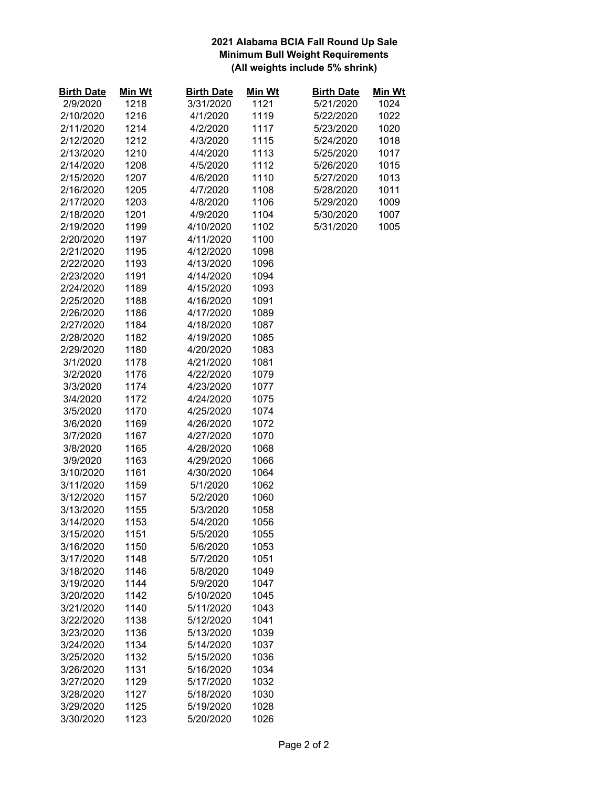#### **2021 Alabama BCIA Fall Round Up Sale Minimum Bull Weight Requirements (All weights include 5% shrink)**

| <b>Birth Date</b> | Min Wt | <b>Birth Date</b> | Min Wt | <b>Birth Date</b> | <u>Min Wt</u> |
|-------------------|--------|-------------------|--------|-------------------|---------------|
| 2/9/2020          | 1218   | 3/31/2020         | 1121   | 5/21/2020         | 1024          |
| 2/10/2020         | 1216   | 4/1/2020          | 1119   | 5/22/2020         | 1022          |
| 2/11/2020         | 1214   | 4/2/2020          | 1117   | 5/23/2020         | 1020          |
| 2/12/2020         | 1212   | 4/3/2020          | 1115   | 5/24/2020         | 1018          |
| 2/13/2020         | 1210   | 4/4/2020          | 1113   | 5/25/2020         | 1017          |
| 2/14/2020         | 1208   | 4/5/2020          | 1112   | 5/26/2020         | 1015          |
| 2/15/2020         | 1207   | 4/6/2020          | 1110   | 5/27/2020         | 1013          |
| 2/16/2020         | 1205   | 4/7/2020          | 1108   | 5/28/2020         | 1011          |
| 2/17/2020         | 1203   | 4/8/2020          | 1106   | 5/29/2020         | 1009          |
| 2/18/2020         | 1201   | 4/9/2020          | 1104   | 5/30/2020         | 1007          |
| 2/19/2020         | 1199   | 4/10/2020         | 1102   | 5/31/2020         | 1005          |
| 2/20/2020         | 1197   | 4/11/2020         | 1100   |                   |               |
| 2/21/2020         | 1195   | 4/12/2020         | 1098   |                   |               |
| 2/22/2020         | 1193   | 4/13/2020         | 1096   |                   |               |
| 2/23/2020         | 1191   | 4/14/2020         | 1094   |                   |               |
| 2/24/2020         | 1189   | 4/15/2020         | 1093   |                   |               |
| 2/25/2020         | 1188   | 4/16/2020         | 1091   |                   |               |
| 2/26/2020         | 1186   | 4/17/2020         | 1089   |                   |               |
| 2/27/2020         | 1184   | 4/18/2020         | 1087   |                   |               |
| 2/28/2020         | 1182   | 4/19/2020         | 1085   |                   |               |
| 2/29/2020         | 1180   | 4/20/2020         | 1083   |                   |               |
| 3/1/2020          | 1178   | 4/21/2020         | 1081   |                   |               |
| 3/2/2020          | 1176   | 4/22/2020         | 1079   |                   |               |
| 3/3/2020          | 1174   | 4/23/2020         | 1077   |                   |               |
| 3/4/2020          | 1172   | 4/24/2020         | 1075   |                   |               |
| 3/5/2020          | 1170   | 4/25/2020         | 1074   |                   |               |
| 3/6/2020          | 1169   | 4/26/2020         | 1072   |                   |               |
| 3/7/2020          | 1167   | 4/27/2020         | 1070   |                   |               |
| 3/8/2020          | 1165   | 4/28/2020         | 1068   |                   |               |
| 3/9/2020          | 1163   | 4/29/2020         | 1066   |                   |               |
| 3/10/2020         | 1161   | 4/30/2020         | 1064   |                   |               |
| 3/11/2020         | 1159   | 5/1/2020          | 1062   |                   |               |
| 3/12/2020         | 1157   | 5/2/2020          | 1060   |                   |               |
| 3/13/2020         | 1155   | 5/3/2020          | 1058   |                   |               |
| 3/14/2020         | 1153   | 5/4/2020          | 1056   |                   |               |
| 3/15/2020         | 1151   | 5/5/2020          | 1055   |                   |               |
| 3/16/2020         | 1150   | 5/6/2020          | 1053   |                   |               |
| 3/17/2020         | 1148   | 5/7/2020          | 1051   |                   |               |
| 3/18/2020         | 1146   | 5/8/2020          | 1049   |                   |               |
| 3/19/2020         | 1144   | 5/9/2020          | 1047   |                   |               |
| 3/20/2020         | 1142   | 5/10/2020         | 1045   |                   |               |
| 3/21/2020         | 1140   | 5/11/2020         | 1043   |                   |               |
| 3/22/2020         | 1138   | 5/12/2020         | 1041   |                   |               |
| 3/23/2020         | 1136   | 5/13/2020         | 1039   |                   |               |
| 3/24/2020         | 1134   | 5/14/2020         | 1037   |                   |               |
| 3/25/2020         | 1132   | 5/15/2020         | 1036   |                   |               |
| 3/26/2020         | 1131   | 5/16/2020         | 1034   |                   |               |
| 3/27/2020         | 1129   | 5/17/2020         | 1032   |                   |               |
| 3/28/2020         | 1127   | 5/18/2020         | 1030   |                   |               |
| 3/29/2020         | 1125   | 5/19/2020         | 1028   |                   |               |
| 3/30/2020         | 1123   | 5/20/2020         | 1026   |                   |               |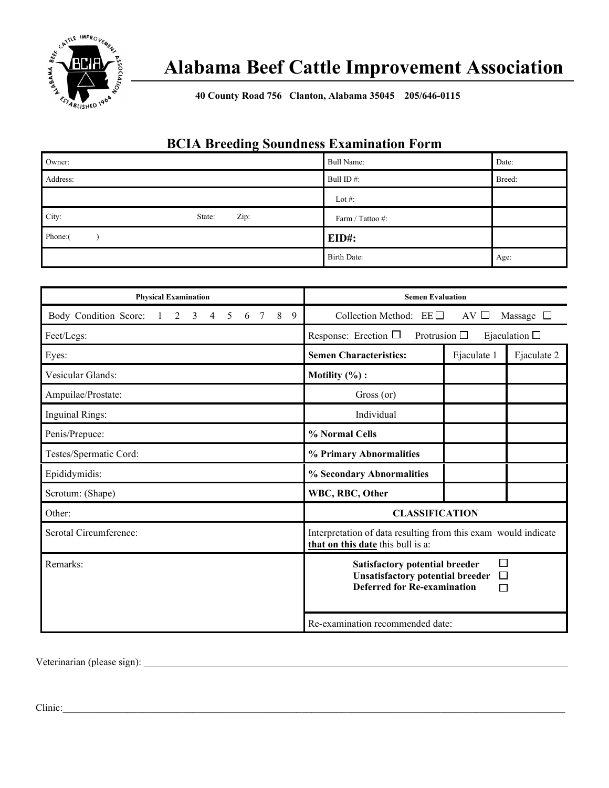

# **Alabama Beef Cattle Improvement Association**

**40 County Road 756 Clanton, Alabama 35045 205/646-0115**

## **BCIA Breeding Soundness Examination Form**

| Owner:                  | Bull Name:       | Date:  |
|-------------------------|------------------|--------|
| Address:                | Bull ID#:        | Breed: |
|                         | Lot #:           |        |
| City:<br>Zip:<br>State: | Farm / Tattoo #: |        |
| Phone:(                 | EID#:            |        |
|                         | Birth Date:      | Age:   |

| <b>Physical Examination</b>                                                   | <b>Semen Evaluation</b>                                                                                                                    |  |  |  |
|-------------------------------------------------------------------------------|--------------------------------------------------------------------------------------------------------------------------------------------|--|--|--|
| Body Condition Score:<br>8<br>9<br>2<br>3<br>4<br>5<br>7<br>$\mathbf{1}$<br>6 | Collection Method: $EE \Box$<br>AV <sub>D</sub><br>Massage $\square$                                                                       |  |  |  |
| Feet/Legs:                                                                    | Response: Erection $\Box$<br>Protrusion $\Box$<br>Ejaculation $\square$                                                                    |  |  |  |
| Eyes:                                                                         | <b>Semen Characteristics:</b><br>Ejaculate 1<br>Ejaculate 2                                                                                |  |  |  |
| Vesicular Glands:                                                             | Motility $(\%):$                                                                                                                           |  |  |  |
| Ampuilae/Prostate:                                                            | Gross (or)                                                                                                                                 |  |  |  |
| <b>Inguinal Rings:</b>                                                        | Individual                                                                                                                                 |  |  |  |
| Penis/Prepuce:                                                                | % Normal Cells                                                                                                                             |  |  |  |
| Testes/Spermatic Cord:                                                        | % Primary Abnormalities                                                                                                                    |  |  |  |
| Epididymidis:                                                                 | % Secondary Abnormalities                                                                                                                  |  |  |  |
| Scrotum: (Shape)                                                              | WBC, RBC, Other                                                                                                                            |  |  |  |
| Other:                                                                        | <b>CLASSIFICATION</b>                                                                                                                      |  |  |  |
| Scrotal Circumference:                                                        | Interpretation of data resulting from this exam would indicate<br>that on this date this bull is a:                                        |  |  |  |
| Remarks:                                                                      | П<br><b>Satisfactory potential breeder</b><br><b>Unsatisfactory potential breeder</b><br>$\Box$<br><b>Deferred for Re-examination</b><br>П |  |  |  |
|                                                                               | Re-examination recommended date:                                                                                                           |  |  |  |

Veterinarian (please sign):

Clinic: